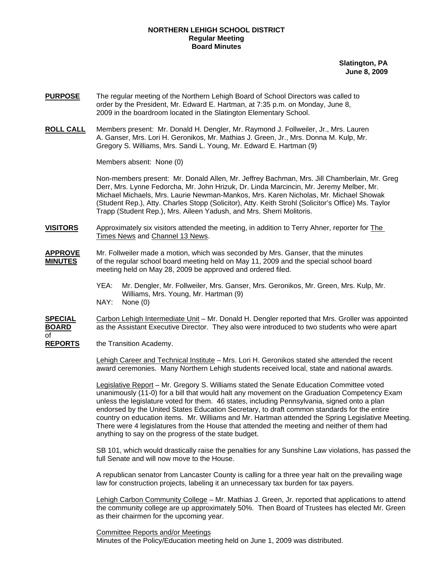### **NORTHERN LEHIGH SCHOOL DISTRICT Regular Meeting Board Minutes**

**Slatington, PA June 8, 2009**

- **PURPOSE** The regular meeting of the Northern Lehigh Board of School Directors was called to order by the President, Mr. Edward E. Hartman, at 7:35 p.m. on Monday, June 8, 2009 in the boardroom located in the Slatington Elementary School.
- **ROLL CALL** Members present: Mr. Donald H. Dengler, Mr. Raymond J. Follweiler, Jr., Mrs. Lauren A. Ganser, Mrs. Lori H. Geronikos, Mr. Mathias J. Green, Jr., Mrs. Donna M. Kulp, Mr. Gregory S. Williams, Mrs. Sandi L. Young, Mr. Edward E. Hartman (9)

Members absent: None (0)

Non-members present: Mr. Donald Allen, Mr. Jeffrey Bachman, Mrs. Jill Chamberlain, Mr. Greg Derr, Mrs. Lynne Fedorcha, Mr. John Hrizuk, Dr. Linda Marcincin, Mr. Jeremy Melber, Mr. Michael Michaels, Mrs. Laurie Newman-Mankos, Mrs. Karen Nicholas, Mr. Michael Showak (Student Rep.), Atty. Charles Stopp (Solicitor), Atty. Keith Strohl (Solicitor's Office) Ms. Taylor Trapp (Student Rep.), Mrs. Aileen Yadush, and Mrs. Sherri Molitoris.

- **VISITORS** Approximately six visitors attended the meeting, in addition to Terry Ahner, reporter for The Times News and Channel 13 News.
- **APPROVE** Mr. Follweiler made a motion, which was seconded by Mrs. Ganser, that the minutes **MINUTES** of the regular school board meeting held on May 11, 2009 and the special school board meeting held on May 28, 2009 be approved and ordered filed.
	- YEA: Mr. Dengler, Mr. Follweiler, Mrs. Ganser, Mrs. Geronikos, Mr. Green, Mrs. Kulp, Mr. Williams, Mrs. Young, Mr. Hartman (9)
	- NAY: None (0)

**SPECIAL** Carbon Lehigh Intermediate Unit – Mr. Donald H. Dengler reported that Mrs. Groller was appointed **BOARD** as the Assistant Executive Director. They also were introduced to two students who were apart of

**REPORTS** the Transition Academy.

Lehigh Career and Technical Institute – Mrs. Lori H. Geronikos stated she attended the recent award ceremonies. Many Northern Lehigh students received local, state and national awards.

Legislative Report – Mr. Gregory S. Williams stated the Senate Education Committee voted unanimously (11-0) for a bill that would halt any movement on the Graduation Competency Exam unless the legislature voted for them. 46 states, including Pennsylvania, signed onto a plan endorsed by the United States Education Secretary, to draft common standards for the entire country on education items. Mr. Williams and Mr. Hartman attended the Spring Legislative Meeting. There were 4 legislatures from the House that attended the meeting and neither of them had anything to say on the progress of the state budget.

SB 101, which would drastically raise the penalties for any Sunshine Law violations, has passed the full Senate and will now move to the House.

A republican senator from Lancaster County is calling for a three year halt on the prevailing wage law for construction projects, labeling it an unnecessary tax burden for tax payers.

 Lehigh Carbon Community College – Mr. Mathias J. Green, Jr. reported that applications to attend the community college are up approximately 50%. Then Board of Trustees has elected Mr. Green as their chairmen for the upcoming year.

 Committee Reports and/or Meetings Minutes of the Policy/Education meeting held on June 1, 2009 was distributed.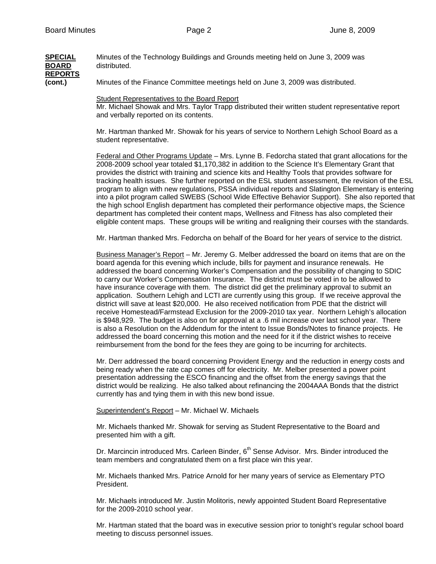#### **SPECIAL** Minutes of the Technology Buildings and Grounds meeting held on June 3, 2009 was **BOARD** distributed. **REPORTS (cont.)** Minutes of the Finance Committee meetings held on June 3, 2009 was distributed.

Student Representatives to the Board Report

 Mr. Michael Showak and Mrs. Taylor Trapp distributed their written student representative report and verbally reported on its contents.

 Mr. Hartman thanked Mr. Showak for his years of service to Northern Lehigh School Board as a student representative.

Federal and Other Programs Update – Mrs. Lynne B. Fedorcha stated that grant allocations for the 2008-2009 school year totaled \$1,170,382 in addition to the Science It's Elementary Grant that provides the district with training and science kits and Healthy Tools that provides software for tracking health issues. She further reported on the ESL student assessment, the revision of the ESL program to align with new regulations, PSSA individual reports and Slatington Elementary is entering into a pilot program called SWEBS (School Wide Effective Behavior Support). She also reported that the high school English department has completed their performance objective maps, the Science department has completed their content maps, Wellness and Fitness has also completed their eligible content maps. These groups will be writing and realigning their courses with the standards.

Mr. Hartman thanked Mrs. Fedorcha on behalf of the Board for her years of service to the district.

Business Manager's Report – Mr. Jeremy G. Melber addressed the board on items that are on the board agenda for this evening which include, bills for payment and insurance renewals. He addressed the board concerning Worker's Compensation and the possibility of changing to SDIC to carry our Worker's Compensation Insurance. The district must be voted in to be allowed to have insurance coverage with them. The district did get the preliminary approval to submit an application. Southern Lehigh and LCTI are currently using this group. If we receive approval the district will save at least \$20,000. He also received notification from PDE that the district will receive Homestead/Farmstead Exclusion for the 2009-2010 tax year. Northern Lehigh's allocation is \$948,929. The budget is also on for approval at a .6 mil increase over last school year. There is also a Resolution on the Addendum for the intent to Issue Bonds/Notes to finance projects. He addressed the board concerning this motion and the need for it if the district wishes to receive reimbursement from the bond for the fees they are going to be incurring for architects.

Mr. Derr addressed the board concerning Provident Energy and the reduction in energy costs and being ready when the rate cap comes off for electricity. Mr. Melber presented a power point presentation addressing the ESCO financing and the offset from the energy savings that the district would be realizing. He also talked about refinancing the 2004AAA Bonds that the district currently has and tying them in with this new bond issue.

Superintendent's Report – Mr. Michael W. Michaels

Mr. Michaels thanked Mr. Showak for serving as Student Representative to the Board and presented him with a gift.

Dr. Marcincin introduced Mrs. Carleen Binder, 6<sup>th</sup> Sense Advisor. Mrs. Binder introduced the team members and congratulated them on a first place win this year.

Mr. Michaels thanked Mrs. Patrice Arnold for her many years of service as Elementary PTO President.

Mr. Michaels introduced Mr. Justin Molitoris, newly appointed Student Board Representative for the 2009-2010 school year.

Mr. Hartman stated that the board was in executive session prior to tonight's regular school board meeting to discuss personnel issues.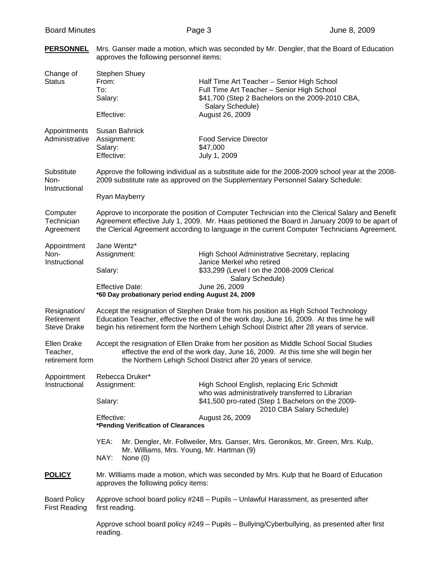| Change of<br><b>Status</b>                        | <b>Stephen Shuey</b><br>From:<br>To:<br>Salary:<br>Effective:                                                                                                                                                                                                                                    | Half Time Art Teacher - Senior High School<br>Full Time Art Teacher - Senior High School<br>\$41,700 (Step 2 Bachelors on the 2009-2010 CBA,<br>Salary Schedule)<br>August 26, 2009 |  |  |  |
|---------------------------------------------------|--------------------------------------------------------------------------------------------------------------------------------------------------------------------------------------------------------------------------------------------------------------------------------------------------|-------------------------------------------------------------------------------------------------------------------------------------------------------------------------------------|--|--|--|
| Appointments<br>Administrative                    | Susan Bahnick<br>Assignment:<br>Salary:<br>Effective:                                                                                                                                                                                                                                            | <b>Food Service Director</b><br>\$47,000<br>July 1, 2009                                                                                                                            |  |  |  |
| Substitute<br>Non-<br>Instructional               | Approve the following individual as a substitute aide for the 2008-2009 school year at the 2008-<br>2009 substitute rate as approved on the Supplementary Personnel Salary Schedule:                                                                                                             |                                                                                                                                                                                     |  |  |  |
|                                                   | Ryan Mayberry                                                                                                                                                                                                                                                                                    |                                                                                                                                                                                     |  |  |  |
| Computer<br>Technician<br>Agreement               | Approve to incorporate the position of Computer Technician into the Clerical Salary and Benefit<br>Agreement effective July 1, 2009. Mr. Haas petitioned the Board in January 2009 to be apart of<br>the Clerical Agreement according to language in the current Computer Technicians Agreement. |                                                                                                                                                                                     |  |  |  |
| Appointment<br>Non-<br>Instructional              | Jane Wentz*<br>Assignment:<br>Salary:                                                                                                                                                                                                                                                            | High School Administrative Secretary, replacing<br>Janice Merkel who retired<br>\$33,299 (Level I on the 2008-2009 Clerical<br>Salary Schedule)                                     |  |  |  |
|                                                   | <b>Effective Date:</b><br>*60 Day probationary period ending August 24, 2009                                                                                                                                                                                                                     | June 26, 2009                                                                                                                                                                       |  |  |  |
| Resignation/<br>Retirement<br><b>Steve Drake</b>  | Accept the resignation of Stephen Drake from his position as High School Technology<br>Education Teacher, effective the end of the work day, June 16, 2009. At this time he will<br>begin his retirement form the Northern Lehigh School District after 28 years of service.                     |                                                                                                                                                                                     |  |  |  |
| <b>Ellen Drake</b><br>Teacher,<br>retirement form | Accept the resignation of Ellen Drake from her position as Middle School Social Studies<br>effective the end of the work day, June 16, 2009. At this time she will begin her<br>the Northern Lehigh School District after 20 years of service.                                                   |                                                                                                                                                                                     |  |  |  |
| Appointment                                       | Rebecca Druker*                                                                                                                                                                                                                                                                                  |                                                                                                                                                                                     |  |  |  |
| Instructional                                     | Assignment:                                                                                                                                                                                                                                                                                      | High School English, replacing Eric Schmidt<br>who was administratively transferred to Librarian                                                                                    |  |  |  |
|                                                   | Salary:                                                                                                                                                                                                                                                                                          | \$41,500 pro-rated (Step 1 Bachelors on the 2009-                                                                                                                                   |  |  |  |
|                                                   | 2010 CBA Salary Schedule)<br>Effective:<br>August 26, 2009<br>*Pending Verification of Clearances                                                                                                                                                                                                |                                                                                                                                                                                     |  |  |  |
|                                                   | YEA:<br>Mr. Dengler, Mr. Follweiler, Mrs. Ganser, Mrs. Geronikos, Mr. Green, Mrs. Kulp,<br>Mr. Williams, Mrs. Young, Mr. Hartman (9)                                                                                                                                                             |                                                                                                                                                                                     |  |  |  |
|                                                   | NAY:<br>None $(0)$                                                                                                                                                                                                                                                                               |                                                                                                                                                                                     |  |  |  |
| <b>POLICY</b>                                     | Mr. Williams made a motion, which was seconded by Mrs. Kulp that he Board of Education<br>approves the following policy items:                                                                                                                                                                   |                                                                                                                                                                                     |  |  |  |
| <b>Board Policy</b><br><b>First Reading</b>       | Approve school board policy #248 - Pupils - Unlawful Harassment, as presented after<br>first reading.                                                                                                                                                                                            |                                                                                                                                                                                     |  |  |  |
|                                                   | Approve school board policy #249 - Pupils - Bullying/Cyberbullying, as presented after first<br>reading.                                                                                                                                                                                         |                                                                                                                                                                                     |  |  |  |

PERSONNEL Mrs. Ganser made a motion, which was seconded by Mr. Dengler, that the Board of Education approves the following personnel items: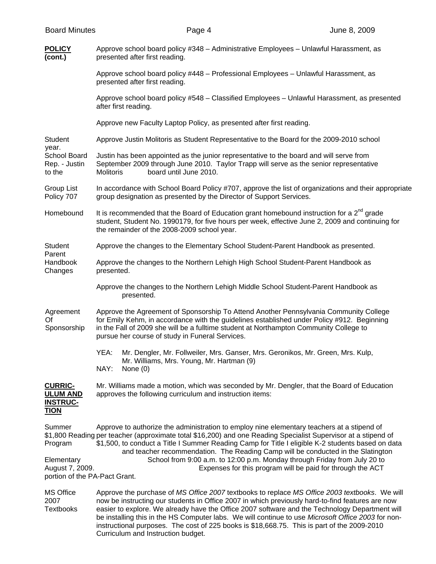| <b>POLICY</b><br>(cont.)                                                                                                                                                                                                                                                                                                                                                                                                   | Approve school board policy #348 - Administrative Employees - Unlawful Harassment, as<br>presented after first reading.                                                                                                                                                                                                                                                                                                                                                                                  |  |  |  |  |  |
|----------------------------------------------------------------------------------------------------------------------------------------------------------------------------------------------------------------------------------------------------------------------------------------------------------------------------------------------------------------------------------------------------------------------------|----------------------------------------------------------------------------------------------------------------------------------------------------------------------------------------------------------------------------------------------------------------------------------------------------------------------------------------------------------------------------------------------------------------------------------------------------------------------------------------------------------|--|--|--|--|--|
|                                                                                                                                                                                                                                                                                                                                                                                                                            | Approve school board policy #448 - Professional Employees - Unlawful Harassment, as<br>presented after first reading.                                                                                                                                                                                                                                                                                                                                                                                    |  |  |  |  |  |
|                                                                                                                                                                                                                                                                                                                                                                                                                            | Approve school board policy #548 - Classified Employees - Unlawful Harassment, as presented<br>after first reading.                                                                                                                                                                                                                                                                                                                                                                                      |  |  |  |  |  |
|                                                                                                                                                                                                                                                                                                                                                                                                                            | Approve new Faculty Laptop Policy, as presented after first reading.                                                                                                                                                                                                                                                                                                                                                                                                                                     |  |  |  |  |  |
| Student<br>year.<br>School Board<br>Rep. - Justin<br>to the                                                                                                                                                                                                                                                                                                                                                                | Approve Justin Molitoris as Student Representative to the Board for the 2009-2010 school                                                                                                                                                                                                                                                                                                                                                                                                                 |  |  |  |  |  |
|                                                                                                                                                                                                                                                                                                                                                                                                                            | Justin has been appointed as the junior representative to the board and will serve from<br>September 2009 through June 2010. Taylor Trapp will serve as the senior representative<br>board until June 2010.<br><b>Molitoris</b>                                                                                                                                                                                                                                                                          |  |  |  |  |  |
| <b>Group List</b><br>Policy 707                                                                                                                                                                                                                                                                                                                                                                                            | In accordance with School Board Policy #707, approve the list of organizations and their appropriate<br>group designation as presented by the Director of Support Services.                                                                                                                                                                                                                                                                                                                              |  |  |  |  |  |
| Homebound                                                                                                                                                                                                                                                                                                                                                                                                                  | It is recommended that the Board of Education grant homebound instruction for a 2 <sup>nd</sup> grade<br>student, Student No. 1990179, for five hours per week, effective June 2, 2009 and continuing for<br>the remainder of the 2008-2009 school year.                                                                                                                                                                                                                                                 |  |  |  |  |  |
| Student                                                                                                                                                                                                                                                                                                                                                                                                                    | Approve the changes to the Elementary School Student-Parent Handbook as presented.                                                                                                                                                                                                                                                                                                                                                                                                                       |  |  |  |  |  |
| Parent<br>Handbook<br>Changes                                                                                                                                                                                                                                                                                                                                                                                              | Approve the changes to the Northern Lehigh High School Student-Parent Handbook as<br>presented.                                                                                                                                                                                                                                                                                                                                                                                                          |  |  |  |  |  |
|                                                                                                                                                                                                                                                                                                                                                                                                                            | Approve the changes to the Northern Lehigh Middle School Student-Parent Handbook as<br>presented.                                                                                                                                                                                                                                                                                                                                                                                                        |  |  |  |  |  |
| Agreement<br>Of<br>Sponsorship                                                                                                                                                                                                                                                                                                                                                                                             | Approve the Agreement of Sponsorship To Attend Another Pennsylvania Community College<br>for Emily Kehm, in accordance with the guidelines established under Policy #912. Beginning<br>in the Fall of 2009 she will be a fulltime student at Northampton Community College to<br>pursue her course of study in Funeral Services.                                                                                                                                                                         |  |  |  |  |  |
|                                                                                                                                                                                                                                                                                                                                                                                                                            | YEA:<br>Mr. Dengler, Mr. Follweiler, Mrs. Ganser, Mrs. Geronikos, Mr. Green, Mrs. Kulp,<br>Mr. Williams, Mrs. Young, Mr. Hartman (9)<br>NAY:<br>None $(0)$                                                                                                                                                                                                                                                                                                                                               |  |  |  |  |  |
| <b>CURRIC-</b><br><b>ULUM AND</b><br><b>INSTRUC-</b><br><b>TION</b>                                                                                                                                                                                                                                                                                                                                                        | Mr. Williams made a motion, which was seconded by Mr. Dengler, that the Board of Education<br>approves the following curriculum and instruction items:                                                                                                                                                                                                                                                                                                                                                   |  |  |  |  |  |
| Summer<br>Approve to authorize the administration to employ nine elementary teachers at a stipend of<br>\$1,800 Reading per teacher (approximate total \$16,200) and one Reading Specialist Supervisor at a stipend of<br>\$1,500, to conduct a Title I Summer Reading Camp for Title I eligible K-2 students based on data<br>Program<br>and teacher recommendation. The Reading Camp will be conducted in the Slatington |                                                                                                                                                                                                                                                                                                                                                                                                                                                                                                          |  |  |  |  |  |
| School from 9:00 a.m. to 12:00 p.m. Monday through Friday from July 20 to<br>Elementary<br>August 7, 2009.<br>Expenses for this program will be paid for through the ACT<br>portion of the PA-Pact Grant.                                                                                                                                                                                                                  |                                                                                                                                                                                                                                                                                                                                                                                                                                                                                                          |  |  |  |  |  |
| <b>MS Office</b><br>2007<br><b>Textbooks</b>                                                                                                                                                                                                                                                                                                                                                                               | Approve the purchase of MS Office 2007 textbooks to replace MS Office 2003 textbooks. We will<br>now be instructing our students in Office 2007 in which previously hard-to-find features are now<br>easier to explore. We already have the Office 2007 software and the Technology Department will<br>be installing this in the HS Computer labs. We will continue to use Microsoft Office 2003 for non-<br>instructional purposes. The cost of 225 books is \$18,668.75. This is part of the 2009-2010 |  |  |  |  |  |

Curriculum and Instruction budget.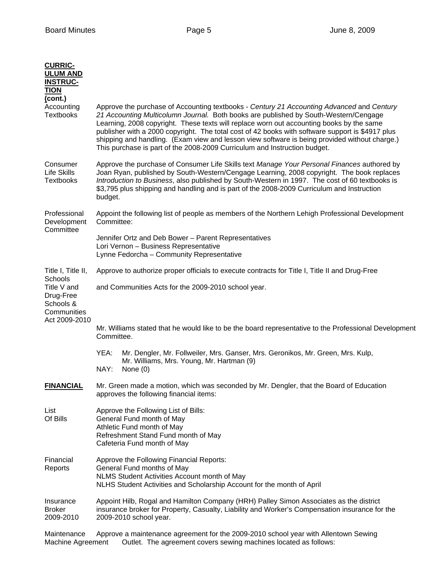| <b>CURRIC-</b><br><b>ULUM AND</b><br><b>INSTRUC-</b><br><b>TION</b><br>(cont.)   |                                                                                                                                                                                                                                                                                                                                                                                                                                                                                                                                                                 |  |  |  |  |  |
|----------------------------------------------------------------------------------|-----------------------------------------------------------------------------------------------------------------------------------------------------------------------------------------------------------------------------------------------------------------------------------------------------------------------------------------------------------------------------------------------------------------------------------------------------------------------------------------------------------------------------------------------------------------|--|--|--|--|--|
| Accounting<br><b>Textbooks</b>                                                   | Approve the purchase of Accounting textbooks - Century 21 Accounting Advanced and Century<br>21 Accounting Multicolumn Journal. Both books are published by South-Western/Cengage<br>Learning, 2008 copyright. These texts will replace worn out accounting books by the same<br>publisher with a 2000 copyright. The total cost of 42 books with software support is \$4917 plus<br>shipping and handling. (Exam view and lesson view software is being provided without charge.)<br>This purchase is part of the 2008-2009 Curriculum and Instruction budget. |  |  |  |  |  |
| Consumer<br><b>Life Skills</b><br><b>Textbooks</b>                               | Approve the purchase of Consumer Life Skills text Manage Your Personal Finances authored by<br>Joan Ryan, published by South-Western/Cengage Learning, 2008 copyright. The book replaces<br>Introduction to Business, also published by South-Western in 1997. The cost of 60 textbooks is<br>\$3,795 plus shipping and handling and is part of the 2008-2009 Curriculum and Instruction<br>budget.                                                                                                                                                             |  |  |  |  |  |
| Professional<br>Development                                                      | Appoint the following list of people as members of the Northern Lehigh Professional Development<br>Committee:                                                                                                                                                                                                                                                                                                                                                                                                                                                   |  |  |  |  |  |
| Committee                                                                        | Jennifer Ortz and Deb Bower - Parent Representatives<br>Lori Vernon - Business Representative<br>Lynne Fedorcha - Community Representative                                                                                                                                                                                                                                                                                                                                                                                                                      |  |  |  |  |  |
| Title I, Title II,                                                               | Approve to authorize proper officials to execute contracts for Title I, Title II and Drug-Free                                                                                                                                                                                                                                                                                                                                                                                                                                                                  |  |  |  |  |  |
| Schools<br>Title V and<br>Drug-Free<br>Schools &<br>Communities<br>Act 2009-2010 | and Communities Acts for the 2009-2010 school year.                                                                                                                                                                                                                                                                                                                                                                                                                                                                                                             |  |  |  |  |  |
|                                                                                  | Mr. Williams stated that he would like to be the board representative to the Professional Development<br>Committee.                                                                                                                                                                                                                                                                                                                                                                                                                                             |  |  |  |  |  |
|                                                                                  | YEA:<br>Mr. Dengler, Mr. Follweiler, Mrs. Ganser, Mrs. Geronikos, Mr. Green, Mrs. Kulp,<br>Mr. Williams, Mrs. Young, Mr. Hartman (9)<br>NAY:<br>None $(0)$                                                                                                                                                                                                                                                                                                                                                                                                      |  |  |  |  |  |
| <b>FINANCIAL</b>                                                                 | Mr. Green made a motion, which was seconded by Mr. Dengler, that the Board of Education<br>approves the following financial items:                                                                                                                                                                                                                                                                                                                                                                                                                              |  |  |  |  |  |
| List<br>Of Bills                                                                 | Approve the Following List of Bills:<br>General Fund month of May<br>Athletic Fund month of May<br>Refreshment Stand Fund month of May<br>Cafeteria Fund month of May                                                                                                                                                                                                                                                                                                                                                                                           |  |  |  |  |  |
| Financial<br>Reports                                                             | Approve the Following Financial Reports:<br>General Fund months of May<br>NLMS Student Activities Account month of May<br>NLHS Student Activities and Scholarship Account for the month of April                                                                                                                                                                                                                                                                                                                                                                |  |  |  |  |  |
| Insurance<br><b>Broker</b><br>2009-2010                                          | Appoint Hilb, Rogal and Hamilton Company (HRH) Palley Simon Associates as the district<br>insurance broker for Property, Casualty, Liability and Worker's Compensation insurance for the<br>2009-2010 school year.                                                                                                                                                                                                                                                                                                                                              |  |  |  |  |  |
| Maintenance                                                                      | Approve a maintenance agreement for the 2009-2010 school year with Allentown Sewing                                                                                                                                                                                                                                                                                                                                                                                                                                                                             |  |  |  |  |  |

Machine Agreement Outlet. The agreement covers sewing machines located as follows: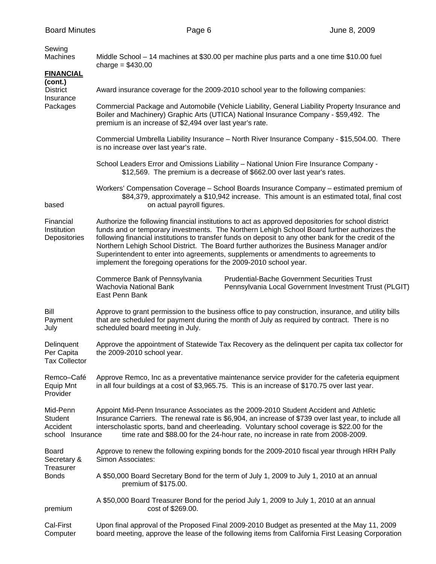| Sewing<br>Machines                                         | Middle School - 14 machines at \$30.00 per machine plus parts and a one time \$10.00 fuel<br>charge = $$430.00$                                                                                                                                                                                                                                                                                                                                                                                                                                                     |  |  |  |  |  |  |
|------------------------------------------------------------|---------------------------------------------------------------------------------------------------------------------------------------------------------------------------------------------------------------------------------------------------------------------------------------------------------------------------------------------------------------------------------------------------------------------------------------------------------------------------------------------------------------------------------------------------------------------|--|--|--|--|--|--|
| <b>FINANCIAL</b>                                           |                                                                                                                                                                                                                                                                                                                                                                                                                                                                                                                                                                     |  |  |  |  |  |  |
| (cont.)<br><b>District</b>                                 | Award insurance coverage for the 2009-2010 school year to the following companies:                                                                                                                                                                                                                                                                                                                                                                                                                                                                                  |  |  |  |  |  |  |
| Insurance<br>Packages                                      | Commercial Package and Automobile (Vehicle Liability, General Liability Property Insurance and<br>Boiler and Machinery) Graphic Arts (UTICA) National Insurance Company - \$59,492. The<br>premium is an increase of \$2,494 over last year's rate.                                                                                                                                                                                                                                                                                                                 |  |  |  |  |  |  |
|                                                            | Commercial Umbrella Liability Insurance - North River Insurance Company - \$15,504.00. There<br>is no increase over last year's rate.                                                                                                                                                                                                                                                                                                                                                                                                                               |  |  |  |  |  |  |
|                                                            | School Leaders Error and Omissions Liability - National Union Fire Insurance Company -<br>\$12,569. The premium is a decrease of \$662.00 over last year's rates.                                                                                                                                                                                                                                                                                                                                                                                                   |  |  |  |  |  |  |
| based                                                      | Workers' Compensation Coverage - School Boards Insurance Company - estimated premium of<br>\$84,379, approximately a \$10,942 increase. This amount is an estimated total, final cost<br>on actual payroll figures.                                                                                                                                                                                                                                                                                                                                                 |  |  |  |  |  |  |
| Financial<br>Institution<br>Depositories                   | Authorize the following financial institutions to act as approved depositories for school district<br>funds and or temporary investments. The Northern Lehigh School Board further authorizes the<br>following financial institutions to transfer funds on deposit to any other bank for the credit of the<br>Northern Lehigh School District. The Board further authorizes the Business Manager and/or<br>Superintendent to enter into agreements, supplements or amendments to agreements to<br>implement the foregoing operations for the 2009-2010 school year. |  |  |  |  |  |  |
|                                                            | <b>Prudential-Bache Government Securities Trust</b><br>Commerce Bank of Pennsylvania<br>Wachovia National Bank<br>Pennsylvania Local Government Investment Trust (PLGIT)<br>East Penn Bank                                                                                                                                                                                                                                                                                                                                                                          |  |  |  |  |  |  |
| Bill<br>Payment<br>July                                    | Approve to grant permission to the business office to pay construction, insurance, and utility bills<br>that are scheduled for payment during the month of July as required by contract. There is no<br>scheduled board meeting in July.                                                                                                                                                                                                                                                                                                                            |  |  |  |  |  |  |
| Delinquent<br>Per Capita<br><b>Tax Collector</b>           | Approve the appointment of Statewide Tax Recovery as the delinquent per capita tax collector for<br>the 2009-2010 school year.                                                                                                                                                                                                                                                                                                                                                                                                                                      |  |  |  |  |  |  |
| Remco-Café<br>Equip Mnt<br>Provider                        | Approve Remco, Inc as a preventative maintenance service provider for the cafeteria equipment<br>in all four buildings at a cost of \$3,965.75. This is an increase of \$170.75 over last year.                                                                                                                                                                                                                                                                                                                                                                     |  |  |  |  |  |  |
| Mid-Penn<br><b>Student</b><br>Accident<br>school Insurance | Appoint Mid-Penn Insurance Associates as the 2009-2010 Student Accident and Athletic<br>Insurance Carriers. The renewal rate is \$6,904, an increase of \$739 over last year, to include all<br>interscholastic sports, band and cheerleading. Voluntary school coverage is \$22.00 for the<br>time rate and \$88.00 for the 24-hour rate, no increase in rate from 2008-2009.                                                                                                                                                                                      |  |  |  |  |  |  |
| <b>Board</b><br>Secretary &<br>Treasurer<br><b>Bonds</b>   | Approve to renew the following expiring bonds for the 2009-2010 fiscal year through HRH Pally<br>Simon Associates:                                                                                                                                                                                                                                                                                                                                                                                                                                                  |  |  |  |  |  |  |
|                                                            | A \$50,000 Board Secretary Bond for the term of July 1, 2009 to July 1, 2010 at an annual<br>premium of \$175.00.                                                                                                                                                                                                                                                                                                                                                                                                                                                   |  |  |  |  |  |  |
| premium                                                    | A \$50,000 Board Treasurer Bond for the period July 1, 2009 to July 1, 2010 at an annual<br>cost of \$269.00.                                                                                                                                                                                                                                                                                                                                                                                                                                                       |  |  |  |  |  |  |
| Cal-First<br>Computer                                      | Upon final approval of the Proposed Final 2009-2010 Budget as presented at the May 11, 2009<br>board meeting, approve the lease of the following items from California First Leasing Corporation                                                                                                                                                                                                                                                                                                                                                                    |  |  |  |  |  |  |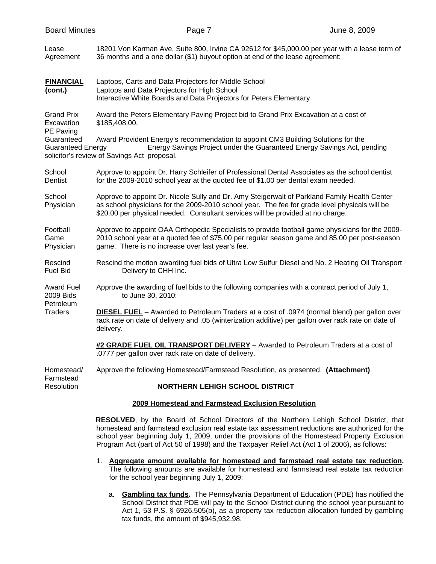| <b>Board Minutes</b>                                                                   | Page 7                                                                                                                                                                                                                                                                           | June 8, 2009 |  |  |  |  |
|----------------------------------------------------------------------------------------|----------------------------------------------------------------------------------------------------------------------------------------------------------------------------------------------------------------------------------------------------------------------------------|--------------|--|--|--|--|
| Lease<br>Agreement                                                                     | 18201 Von Karman Ave, Suite 800, Irvine CA 92612 for \$45,000.00 per year with a lease term of<br>36 months and a one dollar (\$1) buyout option at end of the lease agreement:                                                                                                  |              |  |  |  |  |
| <b>FINANCIAL</b><br>(cont.)                                                            | Laptops, Carts and Data Projectors for Middle School<br>Laptops and Data Projectors for High School<br>Interactive White Boards and Data Projectors for Peters Elementary                                                                                                        |              |  |  |  |  |
| <b>Grand Prix</b><br>Excavation<br>PE Paving<br>Guaranteed<br><b>Guaranteed Energy</b> | Award the Peters Elementary Paving Project bid to Grand Prix Excavation at a cost of<br>\$185,408.00.                                                                                                                                                                            |              |  |  |  |  |
|                                                                                        | Award Provident Energy's recommendation to appoint CM3 Building Solutions for the<br>Energy Savings Project under the Guaranteed Energy Savings Act, pending<br>solicitor's review of Savings Act proposal.                                                                      |              |  |  |  |  |
| School<br>Dentist                                                                      | Approve to appoint Dr. Harry Schleifer of Professional Dental Associates as the school dentist<br>for the 2009-2010 school year at the quoted fee of \$1.00 per dental exam needed.                                                                                              |              |  |  |  |  |
| School<br>Physician                                                                    | Approve to appoint Dr. Nicole Sully and Dr. Amy Steigerwalt of Parkland Family Health Center<br>as school physicians for the 2009-2010 school year. The fee for grade level physicals will be<br>\$20.00 per physical needed. Consultant services will be provided at no charge. |              |  |  |  |  |
| Football<br>Game<br>Physician                                                          | Approve to appoint OAA Orthopedic Specialists to provide football game physicians for the 2009-<br>2010 school year at a quoted fee of \$75.00 per regular season game and 85.00 per post-season<br>game. There is no increase over last year's fee.                             |              |  |  |  |  |
| Rescind<br><b>Fuel Bid</b>                                                             | Rescind the motion awarding fuel bids of Ultra Low Sulfur Diesel and No. 2 Heating Oil Transport<br>Delivery to CHH Inc.                                                                                                                                                         |              |  |  |  |  |
| <b>Award Fuel</b><br>2009 Bids<br>Petroleum<br><b>Traders</b>                          | Approve the awarding of fuel bids to the following companies with a contract period of July 1,<br>to June 30, 2010:                                                                                                                                                              |              |  |  |  |  |
|                                                                                        | DIESEL FUEL - Awarded to Petroleum Traders at a cost of .0974 (normal blend) per gallon over<br>rack rate on date of delivery and .05 (winterization additive) per gallon over rack rate on date of<br>delivery.                                                                 |              |  |  |  |  |
|                                                                                        | #2 GRADE FUEL OIL TRANSPORT DELIVERY - Awarded to Petroleum Traders at a cost of<br>.0777 per gallon over rack rate on date of delivery.                                                                                                                                         |              |  |  |  |  |
| Homestead/<br>Farmstead                                                                | Approve the following Homestead/Farmstead Resolution, as presented. (Attachment)                                                                                                                                                                                                 |              |  |  |  |  |
| Resolution                                                                             | <b>NORTHERN LEHIGH SCHOOL DISTRICT</b>                                                                                                                                                                                                                                           |              |  |  |  |  |
|                                                                                        | 2009 Homestead and Farmstead Exclusion Resolution                                                                                                                                                                                                                                |              |  |  |  |  |
|                                                                                        | RESOLVED, by the Board of School Directors of the Northern Lehigh School District, that<br>homestead and farmstead exclusion real estate tax assessment reductions are authorized for the                                                                                        |              |  |  |  |  |

1. **Aggregate amount available for homestead and farmstead real estate tax reduction.** The following amounts are available for homestead and farmstead real estate tax reduction for the school year beginning July 1, 2009:

school year beginning July 1, 2009, under the provisions of the Homestead Property Exclusion Program Act (part of Act 50 of 1998) and the Taxpayer Relief Act (Act 1 of 2006), as follows:

a. **Gambling tax funds.** The Pennsylvania Department of Education (PDE) has notified the School District that PDE will pay to the School District during the school year pursuant to Act 1, 53 P.S. § 6926.505(b), as a property tax reduction allocation funded by gambling tax funds, the amount of \$945,932.98.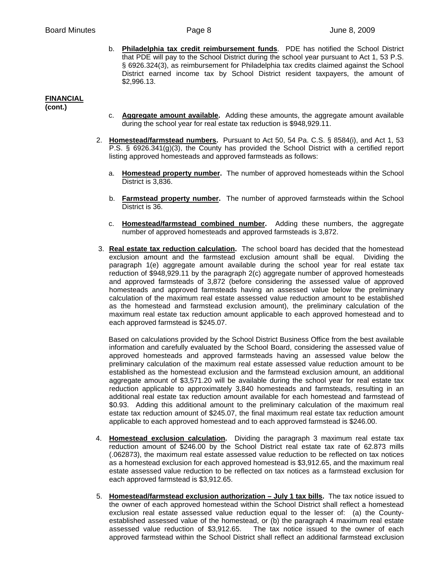b. **Philadelphia tax credit reimbursement funds**. PDE has notified the School District that PDE will pay to the School District during the school year pursuant to Act 1, 53 P.S. § 6926.324(3), as reimbursement for Philadelphia tax credits claimed against the School District earned income tax by School District resident taxpayers, the amount of \$2,996.13.

# **FINANCIAL**

**(cont.)**

- c. **Aggregate amount available.** Adding these amounts, the aggregate amount available during the school year for real estate tax reduction is \$948,929.11.
- 2. **Homestead/farmstead numbers.** Pursuant to Act 50, 54 Pa. C.S. § 8584(i), and Act 1, 53 P.S. § 6926.341(g)(3), the County has provided the School District with a certified report listing approved homesteads and approved farmsteads as follows:
	- a. **Homestead property number.** The number of approved homesteads within the School District is 3,836.
	- b. **Farmstead property number.** The number of approved farmsteads within the School District is 36.
	- c. **Homestead/farmstead combined number.** Adding these numbers, the aggregate number of approved homesteads and approved farmsteads is 3,872.
- 3. **Real estate tax reduction calculation.** The school board has decided that the homestead exclusion amount and the farmstead exclusion amount shall be equal. Dividing the paragraph 1(e) aggregate amount available during the school year for real estate tax reduction of \$948,929.11 by the paragraph 2(c) aggregate number of approved homesteads and approved farmsteads of 3,872 (before considering the assessed value of approved homesteads and approved farmsteads having an assessed value below the preliminary calculation of the maximum real estate assessed value reduction amount to be established as the homestead and farmstead exclusion amount), the preliminary calculation of the maximum real estate tax reduction amount applicable to each approved homestead and to each approved farmstead is \$245.07.

Based on calculations provided by the School District Business Office from the best available information and carefully evaluated by the School Board, considering the assessed value of approved homesteads and approved farmsteads having an assessed value below the preliminary calculation of the maximum real estate assessed value reduction amount to be established as the homestead exclusion and the farmstead exclusion amount, an additional aggregate amount of \$3,571.20 will be available during the school year for real estate tax reduction applicable to approximately 3,840 homesteads and farmsteads, resulting in an additional real estate tax reduction amount available for each homestead and farmstead of \$0.93. Adding this additional amount to the preliminary calculation of the maximum real estate tax reduction amount of \$245.07, the final maximum real estate tax reduction amount applicable to each approved homestead and to each approved farmstead is \$246.00.

- 4. **Homestead exclusion calculation.** Dividing the paragraph 3 maximum real estate tax reduction amount of \$246.00 by the School District real estate tax rate of 62.873 mills (.062873), the maximum real estate assessed value reduction to be reflected on tax notices as a homestead exclusion for each approved homestead is \$3,912.65, and the maximum real estate assessed value reduction to be reflected on tax notices as a farmstead exclusion for each approved farmstead is \$3,912.65.
- 5. **Homestead/farmstead exclusion authorization July 1 tax bills.** The tax notice issued to the owner of each approved homestead within the School District shall reflect a homestead exclusion real estate assessed value reduction equal to the lesser of: (a) the Countyestablished assessed value of the homestead, or (b) the paragraph 4 maximum real estate assessed value reduction of \$3,912.65. The tax notice issued to the owner of each approved farmstead within the School District shall reflect an additional farmstead exclusion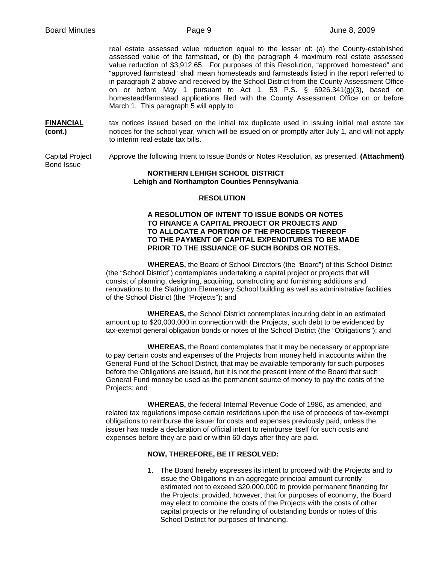real estate assessed value reduction equal to the lesser of: (a) the County-established assessed value of the farmstead, or (b) the paragraph 4 maximum real estate assessed value reduction of \$3,912.65. For purposes of this Resolution, "approved homestead" and "approved farmstead" shall mean homesteads and farmsteads listed in the report referred to in paragraph 2 above and received by the School District from the County Assessment Office on or before May 1 pursuant to Act 1, 53 P.S. § 6926.341(g)(3), based on homestead/farmstead applications filed with the County Assessment Office on or before March 1. This paragraph 5 will apply to

**FINANCIAL** tax notices issued based on the initial tax duplicate used in issuing initial real estate tax **(cont.)** hotices for the school year, which will be issued on or promptly after July 1, and will not apply to interim real estate tax bills.

Capital Project Approve the following Intent to Issue Bonds or Notes Resolution, as presented. **(Attachment)** Bond Issue

#### **NORTHERN LEHIGH SCHOOL DISTRICT Lehigh and Northampton Counties Pennsylvania**

#### **RESOLUTION**

#### **A RESOLUTION OF INTENT TO ISSUE BONDS OR NOTES TO FINANCE A CAPITAL PROJECT OR PROJECTS AND TO ALLOCATE A PORTION OF THE PROCEEDS THEREOF TO THE PAYMENT OF CAPITAL EXPENDITURES TO BE MADE PRIOR TO THE ISSUANCE OF SUCH BONDS OR NOTES.**

 **WHEREAS,** the Board of School Directors (the "Board") of this School District (the "School District") contemplates undertaking a capital project or projects that will consist of planning, designing, acquiring, constructing and furnishing additions and renovations to the Slatington Elementary School building as well as administrative facilities of the School District (the "Projects"); and

 **WHEREAS,** the School District contemplates incurring debt in an estimated amount up to \$20,000,000 in connection with the Projects, such debt to be evidenced by tax-exempt general obligation bonds or notes of the School District (the "Obligations"); and

 **WHEREAS,** the Board contemplates that it may be necessary or appropriate to pay certain costs and expenses of the Projects from money held in accounts within the General Fund of the School District, that may be available temporarily for such purposes before the Obligations are issued, but it is not the present intent of the Board that such General Fund money be used as the permanent source of money to pay the costs of the Projects; and

 **WHEREAS,** the federal Internal Revenue Code of 1986, as amended, and related tax regulations impose certain restrictions upon the use of proceeds of tax-exempt obligations to reimburse the issuer for costs and expenses previously paid, unless the issuer has made a declaration of official intent to reimburse itself for such costs and expenses before they are paid or within 60 days after they are paid.

### **NOW, THEREFORE, BE IT RESOLVED:**

1. The Board hereby expresses its intent to proceed with the Projects and to issue the Obligations in an aggregate principal amount currently estimated not to exceed \$20,000,000 to provide permanent financing for the Projects; provided, however, that for purposes of economy, the Board may elect to combine the costs of the Projects with the costs of other capital projects or the refunding of outstanding bonds or notes of this School District for purposes of financing.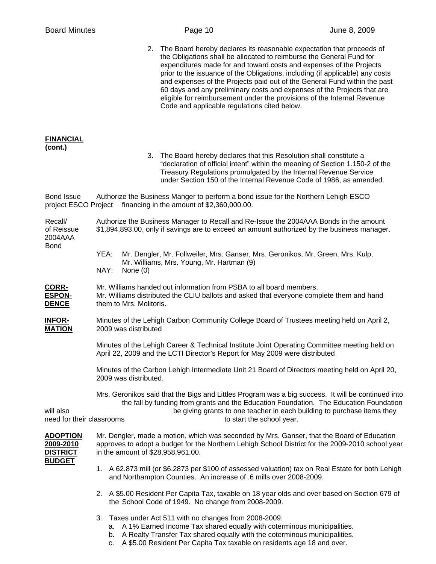| <b>Board Minutes</b>                                             |                                                                                                                                                                             |                         | Page 10                                                         |                                                                                                                                                                                                                                                                                                                                                                                                                                                                                                                                             | June 8, 2009 |
|------------------------------------------------------------------|-----------------------------------------------------------------------------------------------------------------------------------------------------------------------------|-------------------------|-----------------------------------------------------------------|---------------------------------------------------------------------------------------------------------------------------------------------------------------------------------------------------------------------------------------------------------------------------------------------------------------------------------------------------------------------------------------------------------------------------------------------------------------------------------------------------------------------------------------------|--------------|
|                                                                  |                                                                                                                                                                             |                         | Code and applicable regulations cited below.                    | 2. The Board hereby declares its reasonable expectation that proceeds of<br>the Obligations shall be allocated to reimburse the General Fund for<br>expenditures made for and toward costs and expenses of the Projects<br>prior to the issuance of the Obligations, including (if applicable) any costs<br>and expenses of the Projects paid out of the General Fund within the past<br>60 days and any preliminary costs and expenses of the Projects that are<br>eligible for reimbursement under the provisions of the Internal Revenue |              |
| <b>FINANCIAL</b><br>(cont.)                                      |                                                                                                                                                                             |                         |                                                                 | 3. The Board hereby declares that this Resolution shall constitute a<br>"declaration of official intent" within the meaning of Section 1.150-2 of the<br>Treasury Regulations promulgated by the Internal Revenue Service<br>under Section 150 of the Internal Revenue Code of 1986, as amended.                                                                                                                                                                                                                                            |              |
| <b>Bond Issue</b>                                                |                                                                                                                                                                             |                         | project ESCO Project financing in the amount of \$2,360,000.00. | Authorize the Business Manger to perform a bond issue for the Northern Lehigh ESCO                                                                                                                                                                                                                                                                                                                                                                                                                                                          |              |
| Recall/<br>of Reissue<br>2004AAA                                 |                                                                                                                                                                             |                         |                                                                 | Authorize the Business Manager to Recall and Re-Issue the 2004AAA Bonds in the amount<br>\$1,894,893.00, only if savings are to exceed an amount authorized by the business manager.                                                                                                                                                                                                                                                                                                                                                        |              |
| Bond                                                             | YEA:<br>NAY:                                                                                                                                                                | None $(0)$              | Mr. Williams, Mrs. Young, Mr. Hartman (9)                       | Mr. Dengler, Mr. Follweiler, Mrs. Ganser, Mrs. Geronikos, Mr. Green, Mrs. Kulp,                                                                                                                                                                                                                                                                                                                                                                                                                                                             |              |
| <u>CORR-</u><br>ESPON-<br><b>DENCE</b>                           |                                                                                                                                                                             | them to Mrs. Molitoris. |                                                                 | Mr. Williams handed out information from PSBA to all board members.<br>Mr. Williams distributed the CLIU ballots and asked that everyone complete them and hand                                                                                                                                                                                                                                                                                                                                                                             |              |
| <u> INFOR-</u><br><b>MATION</b>                                  | Minutes of the Lehigh Carbon Community College Board of Trustees meeting held on April 2,<br>2009 was distributed                                                           |                         |                                                                 |                                                                                                                                                                                                                                                                                                                                                                                                                                                                                                                                             |              |
|                                                                  | Minutes of the Lehigh Career & Technical Institute Joint Operating Committee meeting held on<br>April 22, 2009 and the LCTI Director's Report for May 2009 were distributed |                         |                                                                 |                                                                                                                                                                                                                                                                                                                                                                                                                                                                                                                                             |              |
|                                                                  | Minutes of the Carbon Lehigh Intermediate Unit 21 Board of Directors meeting held on April 20,<br>2009 was distributed.                                                     |                         |                                                                 |                                                                                                                                                                                                                                                                                                                                                                                                                                                                                                                                             |              |
| will also<br>need for their classrooms                           |                                                                                                                                                                             |                         |                                                                 | Mrs. Geronikos said that the Bigs and Littles Program was a big success. It will be continued into<br>the fall by funding from grants and the Education Foundation. The Education Foundation<br>be giving grants to one teacher in each building to purchase items they<br>to start the school year.                                                                                                                                                                                                                                        |              |
| <u>ADOPTION</u><br>2009-2010<br><u>DISTRICT</u><br><u>BUDGET</u> |                                                                                                                                                                             |                         | in the amount of \$28,958,961.00.                               | Mr. Dengler, made a motion, which was seconded by Mrs. Ganser, that the Board of Education<br>approves to adopt a budget for the Northern Lehigh School District for the 2009-2010 school year                                                                                                                                                                                                                                                                                                                                              |              |
|                                                                  | 1. A 62.873 mill (or \$6.2873 per \$100 of assessed valuation) tax on Real Estate for both Lehigh<br>and Northampton Counties. An increase of .6 mills over 2008-2009.      |                         |                                                                 |                                                                                                                                                                                                                                                                                                                                                                                                                                                                                                                                             |              |
|                                                                  |                                                                                                                                                                             |                         | the School Code of 1949. No change from 2008-2009.              | 2. A \$5.00 Resident Per Capita Tax, taxable on 18 year olds and over based on Section 679 of                                                                                                                                                                                                                                                                                                                                                                                                                                               |              |
|                                                                  | C.                                                                                                                                                                          |                         | 3. Taxes under Act 511 with no changes from 2008-2009:          | a. A 1% Earned Income Tax shared equally with coterminous municipalities.<br>b. A Realty Transfer Tax shared equally with the coterminous municipalities.<br>A \$5.00 Resident Per Capita Tax taxable on residents age 18 and over.                                                                                                                                                                                                                                                                                                         |              |